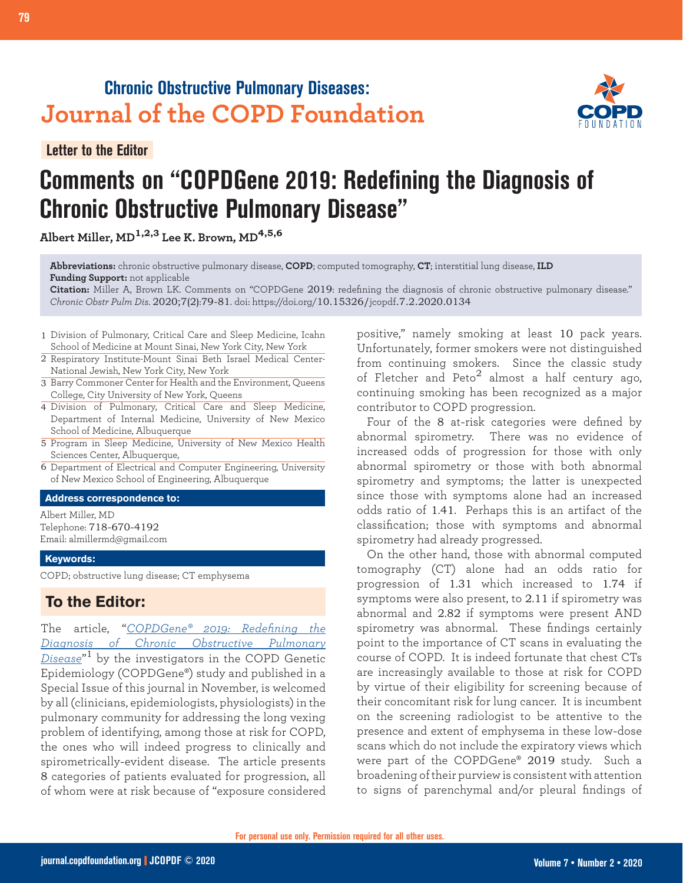# **Chronic Obstructive Pulmonary Diseases: Journal of the COPD Foundation**

**Letter to the Editor**

# **Comments on "COPDGene 2019: Redefining the Diagnosis of Chronic Obstructive Pulmonary Disease"**

**Albert Miller, MD1,2,3 Lee K. Brown, MD4,5,6**

**Abbreviations:** chronic obstructive pulmonary disease, **COPD**; computed tomography, **CT**; interstitial lung disease, **ILD Funding Support:** not applicable

**Citation:** Miller A, Brown LK. Comments on "COPDGene 2019: redefining the diagnosis of chronic obstructive pulmonary disease." *Chronic Obstr Pulm Dis*. 2020;7(2):79-81. doi: https://doi.org/10.15326/jcopdf.7.2.2020.0134

- 1 Division of Pulmonary, Critical Care and Sleep Medicine, Icahn School of Medicine at Mount Sinai, New York City, New York
- 2 Respiratory Institute-Mount Sinai Beth Israel Medical Center-National Jewish, New York City, New York
- 3 Barry Commoner Center for Health and the Environment, Queens College, City University of New York, Queens
- Division of Pulmonary, Critical Care and Sleep Medicine, 4 Department of Internal Medicine, University of New Mexico School of Medicine, Albuquerque
- 5 Program in Sleep Medicine, University of New Mexico Health Sciences Center, Albuquerque,
- Department of Electrical and Computer Engineering, University 6 of New Mexico School of Engineering, Albuquerque

#### **Address correspondence to:**

Albert Miller, MD Telephone: 718-670-4192 Email: almillermd@gmail.com

#### **Keywords:**

COPD; obstructive lung disease; CT emphysema

## **To the Editor:**

The article, "*[COPDGene® 2019: Redefining the](http://doi.org/10.15326/jcopdf.6.5.2019.0149) [Diagnosis of Chronic Obstructive Pulmonary](http://doi.org/10.15326/jcopdf.6.5.2019.0149) [Disease](http://doi.org/10.15326/jcopdf.6.5.2019.0149)*" <sup>1</sup> by the investigators in the COPD Genetic Epidemiology (COPDGene®) study and published in a Special Issue of this journal in November, is welcomed by all (clinicians, epidemiologists, physiologists) in the pulmonary community for addressing the long vexing problem of identifying, among those at risk for COPD, the ones who will indeed progress to clinically and spirometrically-evident disease. The article presents 8 categories of patients evaluated for progression, all of whom were at risk because of "exposure considered

positive," namely smoking at least 10 pack years. Unfortunately, former smokers were not distinguished from continuing smokers. Since the classic study of Fletcher and Peto<sup>2</sup> almost a half century ago, continuing smoking has been recognized as a major contributor to COPD progression.

Four of the 8 at-risk categories were defined by abnormal spirometry. There was no evidence of increased odds of progression for those with only abnormal spirometry or those with both abnormal spirometry and symptoms; the latter is unexpected since those with symptoms alone had an increased odds ratio of 1.41. Perhaps this is an artifact of the classification; those with symptoms and abnormal spirometry had already progressed.

On the other hand, those with abnormal computed tomography (CT) alone had an odds ratio for progression of 1.31 which increased to 1.74 if symptoms were also present, to 2.11 if spirometry was abnormal and 2.82 if symptoms were present AND spirometry was abnormal. These findings certainly point to the importance of CT scans in evaluating the course of COPD. It is indeed fortunate that chest CTs are increasingly available to those at risk for COPD by virtue of their eligibility for screening because of their concomitant risk for lung cancer. It is incumbent on the screening radiologist to be attentive to the presence and extent of emphysema in these low-dose scans which do not include the expiratory views which were part of the COPDGene® 2019 study. Such a broadening of their purview is consistent with attention to signs of parenchymal and/or pleural findings of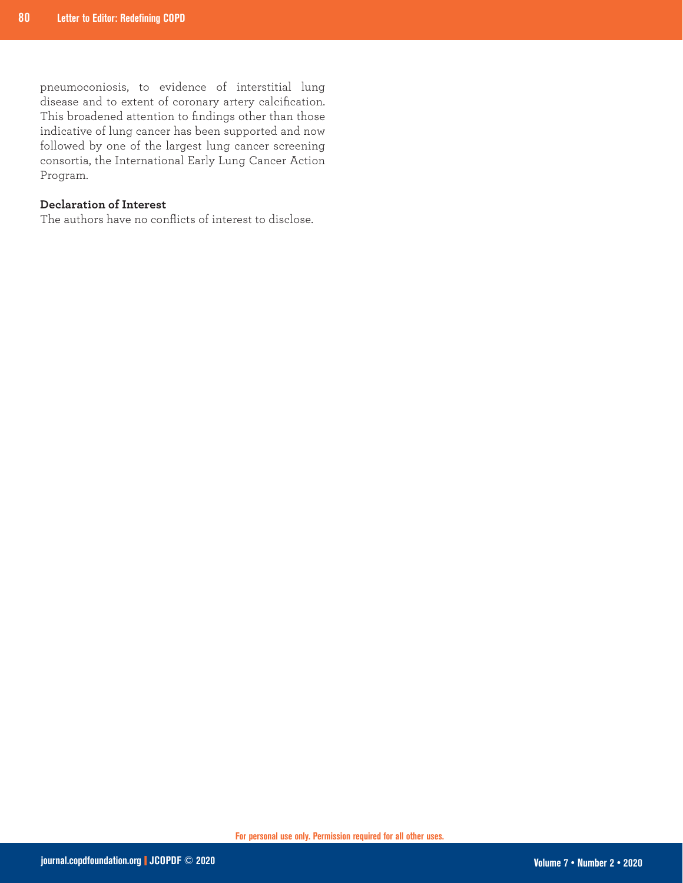pneumoconiosis, to evidence of interstitial lung disease and to extent of coronary artery calcification. This broadened attention to findings other than those indicative of lung cancer has been supported and now followed by one of the largest lung cancer screening consortia, the International Early Lung Cancer Action Program.

### **Declaration of Interest**

The authors have no conflicts of interest to disclose.